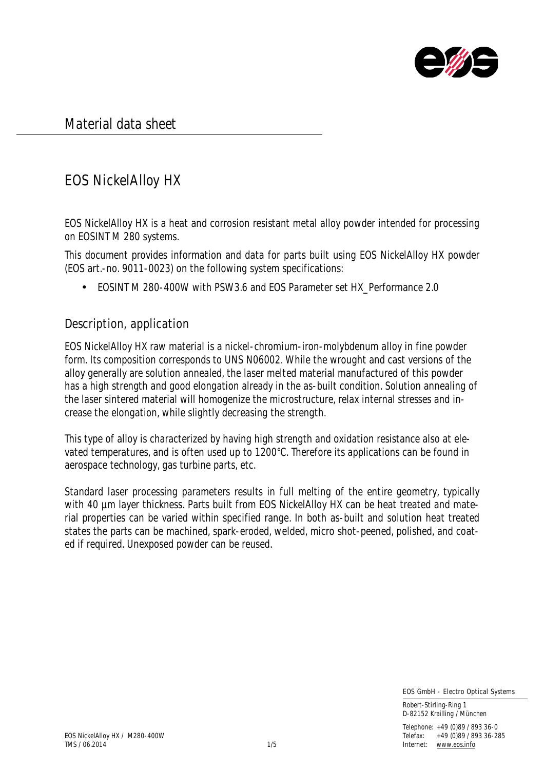

Material data sheet

# EOS NickelAlloy HX

EOS NickelAlloy HX is a heat and corrosion resistant metal alloy powder intended for processing on EOSINT M 280 systems.

This document provides information and data for parts built using EOS NickelAlloy HX powder (EOS art.-no. 9011-0023) on the following system specifications:

• EOSINT M 280-400W with PSW3.6 and EOS Parameter set HX Performance 2.0

### Description, application

EOS NickelAlloy HX raw material is a nickel-chromium-iron-molybdenum alloy in fine powder form. Its composition corresponds to UNS N06002. While the wrought and cast versions of the alloy generally are solution annealed, the laser melted material manufactured of this powder has a high strength and good elongation already in the as-built condition. Solution annealing of the laser sintered material will homogenize the microstructure, relax internal stresses and increase the elongation, while slightly decreasing the strength.

This type of alloy is characterized by having high strength and oxidation resistance also at elevated temperatures, and is often used up to 1200°C. Therefore its applications can be found in aerospace technology, gas turbine parts, etc.

Standard laser processing parameters results in full melting of the entire geometry, typically with 40 um layer thickness. Parts built from EOS NickelAlloy HX can be heat treated and material properties can be varied within specified range. In both as-built and solution heat treated states the parts can be machined, spark-eroded, welded, micro shot-peened, polished, and coated if required. Unexposed powder can be reused.

EOS GmbH - Electro Optical Systems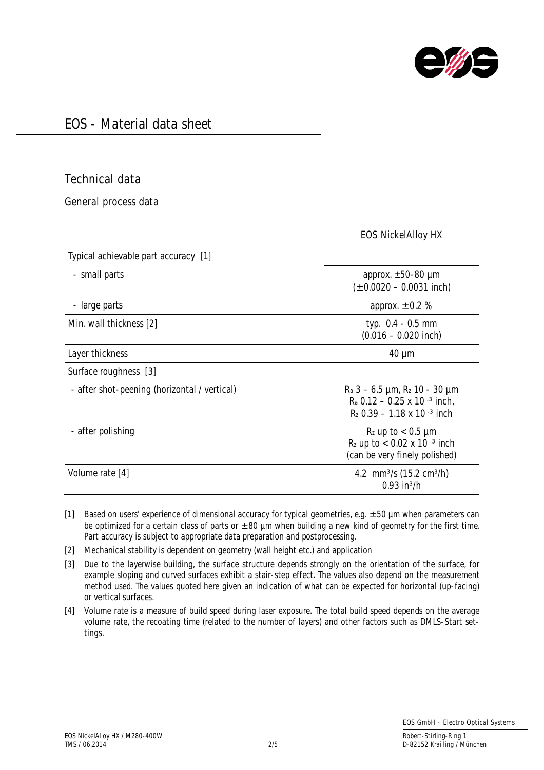

### Technical data

General process data

|                                              | <b>EOS NickelAlloy HX</b>                                                                                        |
|----------------------------------------------|------------------------------------------------------------------------------------------------------------------|
| Typical achievable part accuracy [1]         |                                                                                                                  |
| - small parts                                | approx. $\pm 50 - 80$ µm<br>$(\pm 0.0020 - 0.0031$ inch)                                                         |
| - large parts                                | approx. $\pm$ 0.2 %                                                                                              |
| Min. wall thickness [2]                      | typ. 0.4 - 0.5 mm<br>$(0.016 - 0.020$ inch)                                                                      |
| Layer thickness                              | $40 \mu m$                                                                                                       |
| Surface roughness [3]                        |                                                                                                                  |
| - after shot-peening (horizontal / vertical) | $R_a$ 3 – 6.5 µm, $R_z$ 10 - 30 µm<br>$R_a$ 0.12 – 0.25 x 10 $-3$ inch,<br>$R_z$ 0.39 – 1.18 x 10 $\cdot$ 3 inch |
| - after polishing                            | $R_z$ up to $< 0.5$ µm<br>$R_z$ up to $< 0.02$ x 10 $^{-3}$ inch<br>(can be very finely polished)                |
| Volume rate [4]                              | 4.2 mm <sup>3</sup> /s (15.2 cm <sup>3</sup> /h)<br>$0.93$ in <sup>3</sup> /h                                    |

[1] Based on users' experience of dimensional accuracy for typical geometries, e.g.  $\pm$  50 µm when parameters can be optimized for a certain class of parts or  $\pm$  80 µm when building a new kind of geometry for the first time. Part accuracy is subject to appropriate data preparation and postprocessing.

[2] Mechanical stability is dependent on geometry (wall height etc.) and application

[3] Due to the layerwise building, the surface structure depends strongly on the orientation of the surface, for example sloping and curved surfaces exhibit a stair-step effect. The values also depend on the measurement method used. The values quoted here given an indication of what can be expected for horizontal (up-facing) or vertical surfaces.

[4] Volume rate is a measure of build speed during laser exposure. The total build speed depends on the average volume rate, the recoating time (related to the number of layers) and other factors such as DMLS-Start settings.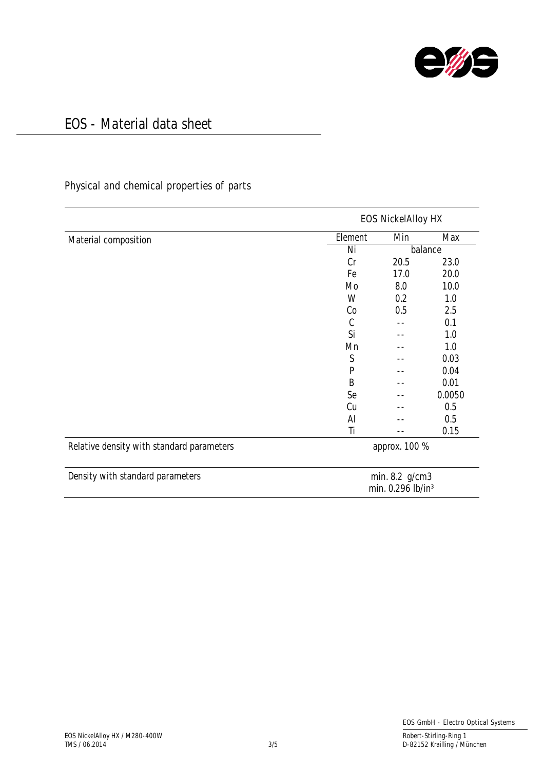

### Physical and chemical properties of parts

| Material composition                      | <b>EOS NickelAlloy HX</b>                       |         |        |
|-------------------------------------------|-------------------------------------------------|---------|--------|
|                                           | Element                                         | Min     | Max    |
|                                           | Ni                                              | balance |        |
|                                           | Cr                                              | 20.5    | 23.0   |
|                                           | Fe                                              | 17.0    | 20.0   |
|                                           | Mo                                              | 8.0     | 10.0   |
|                                           | W                                               | 0.2     | 1.0    |
|                                           | Co                                              | 0.5     | 2.5    |
|                                           | $\mathcal{C}$                                   | --      | 0.1    |
|                                           | Si                                              | $- -$   | 1.0    |
|                                           | Mn                                              |         | 1.0    |
|                                           | $\mathsf S$                                     |         | 0.03   |
|                                           | P                                               |         | 0.04   |
|                                           | B                                               |         | 0.01   |
|                                           | Se                                              |         | 0.0050 |
|                                           | Cu                                              |         | 0.5    |
|                                           | Al                                              |         | 0.5    |
|                                           | Ti                                              |         | 0.15   |
| Relative density with standard parameters | approx. 100 %                                   |         |        |
| Density with standard parameters          | min. 8.2 g/cm3<br>min. 0.296 lb/in <sup>3</sup> |         |        |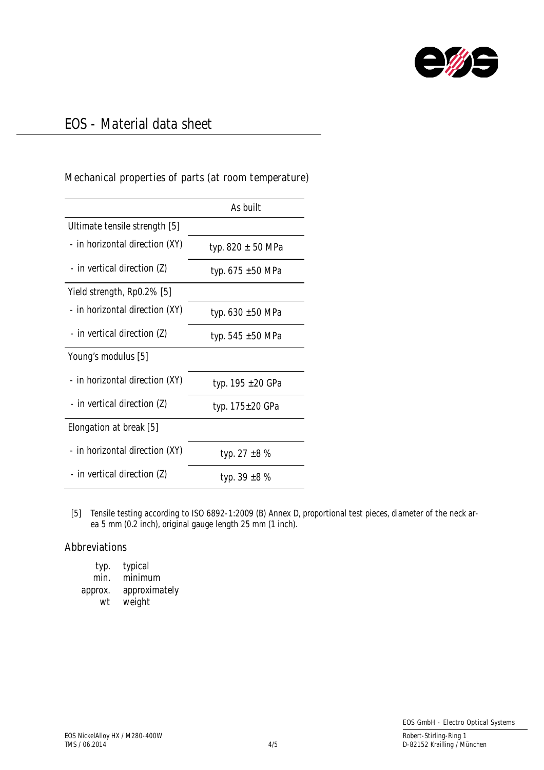

### Mechanical properties of parts (at room temperature)

|                                | As built              |
|--------------------------------|-----------------------|
| Ultimate tensile strength [5]  |                       |
| - in horizontal direction (XY) | typ. $820 \pm 50$ MPa |
| - in vertical direction (Z)    | typ. 675 ±50 MPa      |
| Yield strength, Rp0.2% [5]     |                       |
| - in horizontal direction (XY) | typ. $630 \pm 50$ MPa |
| - in vertical direction (Z)    | typ. 545 $\pm$ 50 MPa |
| Young's modulus [5]            |                       |
| - in horizontal direction (XY) | typ. 195 ±20 GPa      |
| - in vertical direction (Z)    | typ. 175±20 GPa       |
| Elongation at break [5]        |                       |
| - in horizontal direction (XY) | typ. 27 $\pm 8$ %     |
| - in vertical direction (Z)    | typ. 39 $\pm$ 8 %     |

[5] Tensile testing according to ISO 6892-1:2009 (B) Annex D, proportional test pieces, diameter of the neck area 5 mm (0.2 inch), original gauge length 25 mm (1 inch).

#### Abbreviations

| typ.    | typical       |
|---------|---------------|
| min.    | minimum       |
| approx. | approximately |
| wt      | weight        |